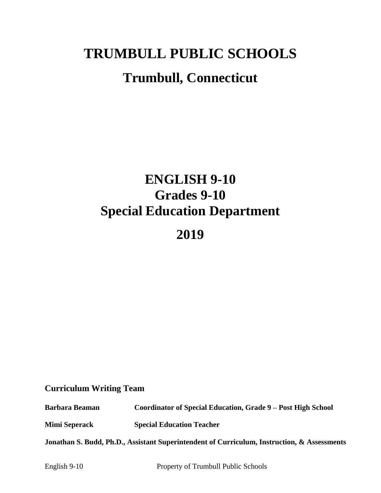# **TRUMBULL PUBLIC SCHOOLS Trumbull, Connecticut**

# **ENGLISH 9-10 Grades 9-10 Special Education Department**

# **2019**

## **Curriculum Writing Team**

**Barbara Beaman Coordinator of Special Education, Grade 9 – Post High School**

**Mimi Seperack Special Education Teacher**

**Jonathan S. Budd, Ph.D., Assistant Superintendent of Curriculum, Instruction, & Assessments**

English 9-10 Property of Trumbull Public Schools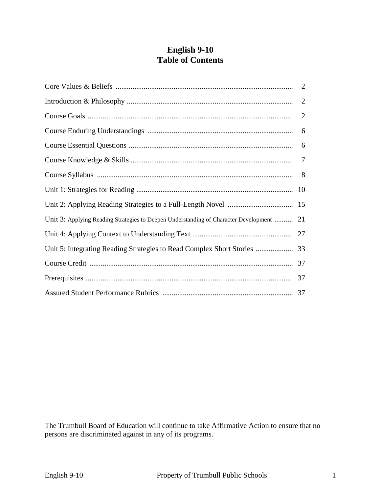## **English 9-10 Table of Contents**

|                                                                                          | 2 |
|------------------------------------------------------------------------------------------|---|
|                                                                                          | 2 |
|                                                                                          |   |
|                                                                                          |   |
|                                                                                          |   |
|                                                                                          |   |
|                                                                                          |   |
|                                                                                          |   |
| Unit 3: Applying Reading Strategies to Deepen Understanding of Character Development  21 |   |
|                                                                                          |   |
|                                                                                          |   |
|                                                                                          |   |
|                                                                                          |   |
|                                                                                          |   |

The Trumbull Board of Education will continue to take Affirmative Action to ensure that no persons are discriminated against in any of its programs.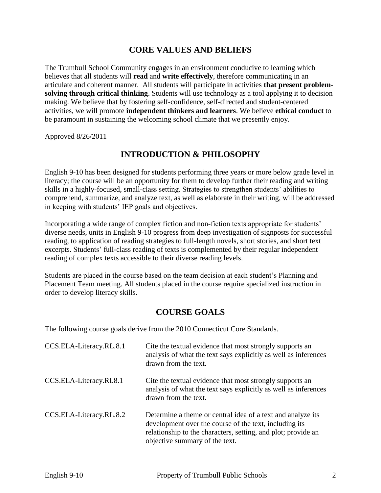## **CORE VALUES AND BELIEFS**

The Trumbull School Community engages in an environment conducive to learning which believes that all students will **read** and **write effectively**, therefore communicating in an articulate and coherent manner. All students will participate in activities **that present problemsolving through critical thinking**. Students will use technology as a tool applying it to decision making. We believe that by fostering self-confidence, self-directed and student-centered activities, we will promote **independent thinkers and learners**. We believe **ethical conduct** to be paramount in sustaining the welcoming school climate that we presently enjoy.

Approved 8/26/2011

## **INTRODUCTION & PHILOSOPHY**

English 9-10 has been designed for students performing three years or more below grade level in literacy; the course will be an opportunity for them to develop further their reading and writing skills in a highly-focused, small-class setting. Strategies to strengthen students' abilities to comprehend, summarize, and analyze text, as well as elaborate in their writing, will be addressed in keeping with students' IEP goals and objectives.

Incorporating a wide range of complex fiction and non-fiction texts appropriate for students' diverse needs, units in English 9-10 progress from deep investigation of signposts for successful reading, to application of reading strategies to full-length novels, short stories, and short text excerpts. Students' full-class reading of texts is complemented by their regular independent reading of complex texts accessible to their diverse reading levels.

Students are placed in the course based on the team decision at each student's Planning and Placement Team meeting. All students placed in the course require specialized instruction in order to develop literacy skills.

## **COURSE GOALS**

The following course goals derive from the 2010 Connecticut Core Standards.

| CCS.ELA-Literacy.RL.8.1 | Cite the textual evidence that most strongly supports an<br>analysis of what the text says explicitly as well as inferences<br>drawn from the text.                                                                      |
|-------------------------|--------------------------------------------------------------------------------------------------------------------------------------------------------------------------------------------------------------------------|
| CCS.ELA-Literacy.RI.8.1 | Cite the textual evidence that most strongly supports an<br>analysis of what the text says explicitly as well as inferences<br>drawn from the text.                                                                      |
| CCS.ELA-Literacy.RL.8.2 | Determine a theme or central idea of a text and analyze its<br>development over the course of the text, including its<br>relationship to the characters, setting, and plot; provide an<br>objective summary of the text. |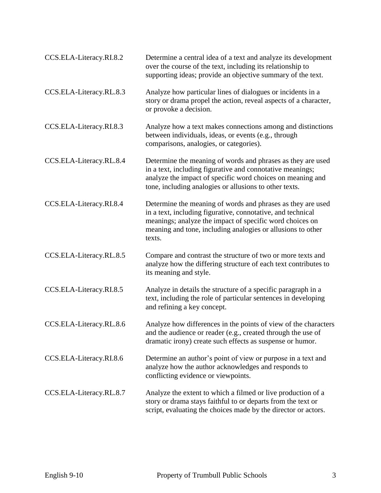| CCS.ELA-Literacy.RI.8.2 | Determine a central idea of a text and analyze its development<br>over the course of the text, including its relationship to<br>supporting ideas; provide an objective summary of the text.                                                                     |
|-------------------------|-----------------------------------------------------------------------------------------------------------------------------------------------------------------------------------------------------------------------------------------------------------------|
| CCS.ELA-Literacy.RL.8.3 | Analyze how particular lines of dialogues or incidents in a<br>story or drama propel the action, reveal aspects of a character,<br>or provoke a decision.                                                                                                       |
| CCS.ELA-Literacy.RI.8.3 | Analyze how a text makes connections among and distinctions<br>between individuals, ideas, or events (e.g., through<br>comparisons, analogies, or categories).                                                                                                  |
| CCS.ELA-Literacy.RL.8.4 | Determine the meaning of words and phrases as they are used<br>in a text, including figurative and connotative meanings;<br>analyze the impact of specific word choices on meaning and<br>tone, including analogies or allusions to other texts.                |
| CCS.ELA-Literacy.RI.8.4 | Determine the meaning of words and phrases as they are used<br>in a text, including figurative, connotative, and technical<br>meanings; analyze the impact of specific word choices on<br>meaning and tone, including analogies or allusions to other<br>texts. |
| CCS.ELA-Literacy.RL.8.5 | Compare and contrast the structure of two or more texts and<br>analyze how the differing structure of each text contributes to<br>its meaning and style.                                                                                                        |
| CCS.ELA-Literacy.RI.8.5 | Analyze in details the structure of a specific paragraph in a<br>text, including the role of particular sentences in developing<br>and refining a key concept.                                                                                                  |
| CCS.ELA-Literacy.RL.8.6 | Analyze how differences in the points of view of the characters<br>and the audience or reader (e.g., created through the use of<br>dramatic irony) create such effects as suspense or humor.                                                                    |
| CCS.ELA-Literacy.RI.8.6 | Determine an author's point of view or purpose in a text and<br>analyze how the author acknowledges and responds to<br>conflicting evidence or viewpoints.                                                                                                      |
| CCS.ELA-Literacy.RL.8.7 | Analyze the extent to which a filmed or live production of a<br>story or drama stays faithful to or departs from the text or<br>script, evaluating the choices made by the director or actors.                                                                  |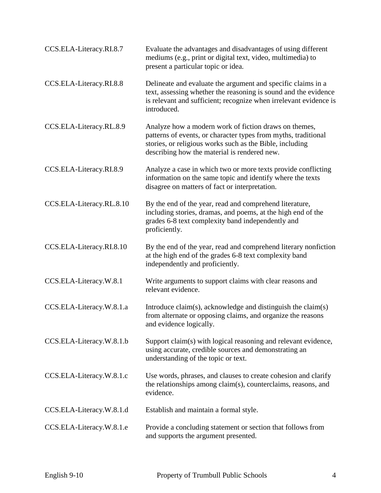| CCS.ELA-Literacy.RI.8.7  | Evaluate the advantages and disadvantages of using different<br>mediums (e.g., print or digital text, video, multimedia) to<br>present a particular topic or idea.                                                                  |
|--------------------------|-------------------------------------------------------------------------------------------------------------------------------------------------------------------------------------------------------------------------------------|
| CCS.ELA-Literacy.RI.8.8  | Delineate and evaluate the argument and specific claims in a<br>text, assessing whether the reasoning is sound and the evidence<br>is relevant and sufficient; recognize when irrelevant evidence is<br>introduced.                 |
| CCS.ELA-Literacy.RL.8.9  | Analyze how a modern work of fiction draws on themes,<br>patterns of events, or character types from myths, traditional<br>stories, or religious works such as the Bible, including<br>describing how the material is rendered new. |
| CCS.ELA-Literacy.RI.8.9  | Analyze a case in which two or more texts provide conflicting<br>information on the same topic and identify where the texts<br>disagree on matters of fact or interpretation.                                                       |
| CCS.ELA-Literacy.RL.8.10 | By the end of the year, read and comprehend literature,<br>including stories, dramas, and poems, at the high end of the<br>grades 6-8 text complexity band independently and<br>proficiently.                                       |
| CCS.ELA-Literacy.RI.8.10 | By the end of the year, read and comprehend literary nonfiction<br>at the high end of the grades 6-8 text complexity band<br>independently and proficiently.                                                                        |
| CCS.ELA-Literacy.W.8.1   | Write arguments to support claims with clear reasons and<br>relevant evidence.                                                                                                                                                      |
| CCS.ELA-Literacy.W.8.1.a | Introduce claim(s), acknowledge and distinguish the claim(s)<br>from alternate or opposing claims, and organize the reasons<br>and evidence logically.                                                                              |
| CCS.ELA-Literacy.W.8.1.b | Support claim(s) with logical reasoning and relevant evidence,<br>using accurate, credible sources and demonstrating an<br>understanding of the topic or text.                                                                      |
| CCS.ELA-Literacy.W.8.1.c | Use words, phrases, and clauses to create cohesion and clarify<br>the relationships among claim(s), counterclaims, reasons, and<br>evidence.                                                                                        |
| CCS.ELA-Literacy.W.8.1.d | Establish and maintain a formal style.                                                                                                                                                                                              |
| CCS.ELA-Literacy.W.8.1.e | Provide a concluding statement or section that follows from<br>and supports the argument presented.                                                                                                                                 |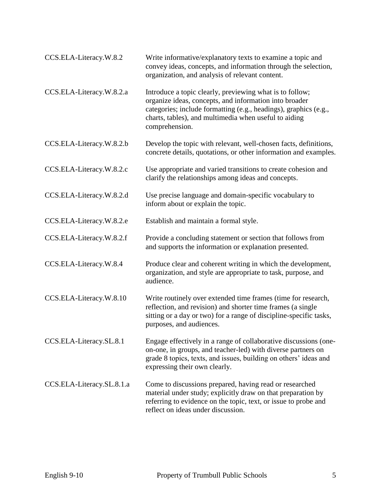| CCS.ELA-Literacy.W.8.2    | Write informative/explanatory texts to examine a topic and<br>convey ideas, concepts, and information through the selection,<br>organization, and analysis of relevant content.                                                                                   |
|---------------------------|-------------------------------------------------------------------------------------------------------------------------------------------------------------------------------------------------------------------------------------------------------------------|
| CCS.ELA-Literacy.W.8.2.a  | Introduce a topic clearly, previewing what is to follow;<br>organize ideas, concepts, and information into broader<br>categories; include formatting (e.g., headings), graphics (e.g.,<br>charts, tables), and multimedia when useful to aiding<br>comprehension. |
| CCS.ELA-Literacy.W.8.2.b  | Develop the topic with relevant, well-chosen facts, definitions,<br>concrete details, quotations, or other information and examples.                                                                                                                              |
| CCS.ELA-Literacy.W.8.2.c  | Use appropriate and varied transitions to create cohesion and<br>clarify the relationships among ideas and concepts.                                                                                                                                              |
| CCS.ELA-Literacy.W.8.2.d  | Use precise language and domain-specific vocabulary to<br>inform about or explain the topic.                                                                                                                                                                      |
| CCS.ELA-Literacy.W.8.2.e  | Establish and maintain a formal style.                                                                                                                                                                                                                            |
| CCS.ELA-Literacy.W.8.2.f  | Provide a concluding statement or section that follows from<br>and supports the information or explanation presented.                                                                                                                                             |
| CCS.ELA-Literacy.W.8.4    | Produce clear and coherent writing in which the development,<br>organization, and style are appropriate to task, purpose, and<br>audience.                                                                                                                        |
| CCS.ELA-Literacy.W.8.10   | Write routinely over extended time frames (time for research,<br>reflection, and revision) and shorter time frames (a single<br>sitting or a day or two) for a range of discipline-specific tasks,<br>purposes, and audiences.                                    |
| CCS.ELA-Literacy.SL.8.1   | Engage effectively in a range of collaborative discussions (one-<br>on-one, in groups, and teacher-led) with diverse partners on<br>grade 8 topics, texts, and issues, building on others' ideas and<br>expressing their own clearly.                             |
| CCS.ELA-Literacy.SL.8.1.a | Come to discussions prepared, having read or researched<br>material under study; explicitly draw on that preparation by<br>referring to evidence on the topic, text, or issue to probe and<br>reflect on ideas under discussion.                                  |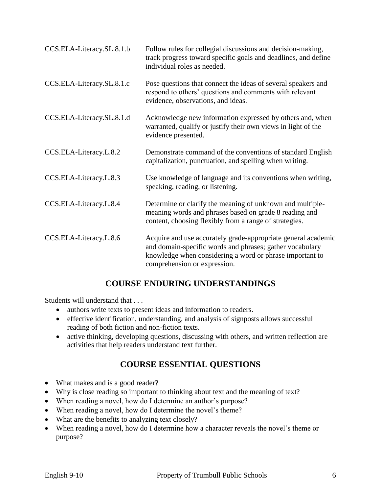| CCS.ELA-Literacy.SL.8.1.b | Follow rules for collegial discussions and decision-making,<br>track progress toward specific goals and deadlines, and define<br>individual roles as needed.                                                          |
|---------------------------|-----------------------------------------------------------------------------------------------------------------------------------------------------------------------------------------------------------------------|
| CCS.ELA-Literacy.SL.8.1.c | Pose questions that connect the ideas of several speakers and<br>respond to others' questions and comments with relevant<br>evidence, observations, and ideas.                                                        |
| CCS.ELA-Literacy.SL.8.1.d | Acknowledge new information expressed by others and, when<br>warranted, qualify or justify their own views in light of the<br>evidence presented.                                                                     |
| CCS.ELA-Literacy.L.8.2    | Demonstrate command of the conventions of standard English<br>capitalization, punctuation, and spelling when writing.                                                                                                 |
| CCS.ELA-Literacy.L.8.3    | Use knowledge of language and its conventions when writing,<br>speaking, reading, or listening.                                                                                                                       |
| CCS.ELA-Literacy.L.8.4    | Determine or clarify the meaning of unknown and multiple-<br>meaning words and phrases based on grade 8 reading and<br>content, choosing flexibly from a range of strategies.                                         |
| CCS.ELA-Literacy.L.8.6    | Acquire and use accurately grade-appropriate general academic<br>and domain-specific words and phrases; gather vocabulary<br>knowledge when considering a word or phrase important to<br>comprehension or expression. |

## **COURSE ENDURING UNDERSTANDINGS**

Students will understand that . . .

- authors write texts to present ideas and information to readers.
- effective identification, understanding, and analysis of signposts allows successful reading of both fiction and non-fiction texts.
- active thinking, developing questions, discussing with others, and written reflection are activities that help readers understand text further.

## **COURSE ESSENTIAL QUESTIONS**

- What makes and is a good reader?
- Why is close reading so important to thinking about text and the meaning of text?
- When reading a novel, how do I determine an author's purpose?
- When reading a novel, how do I determine the novel's theme?
- What are the benefits to analyzing text closely?
- When reading a novel, how do I determine how a character reveals the novel's theme or purpose?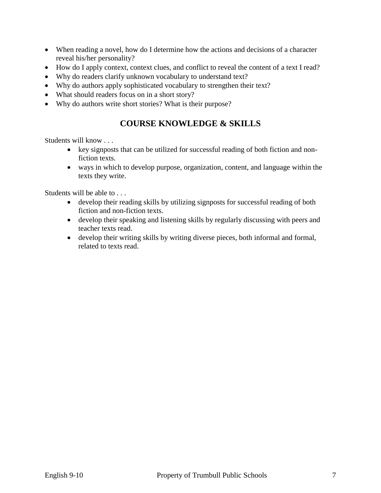- When reading a novel, how do I determine how the actions and decisions of a character reveal his/her personality?
- How do I apply context, context clues, and conflict to reveal the content of a text I read?
- Why do readers clarify unknown vocabulary to understand text?
- Why do authors apply sophisticated vocabulary to strengthen their text?
- What should readers focus on in a short story?
- Why do authors write short stories? What is their purpose?

## **COURSE KNOWLEDGE & SKILLS**

Students will know . . .

- key signposts that can be utilized for successful reading of both fiction and nonfiction texts.
- ways in which to develop purpose, organization, content, and language within the texts they write.

Students will be able to . . .

- develop their reading skills by utilizing signposts for successful reading of both fiction and non-fiction texts.
- develop their speaking and listening skills by regularly discussing with peers and teacher texts read.
- develop their writing skills by writing diverse pieces, both informal and formal, related to texts read.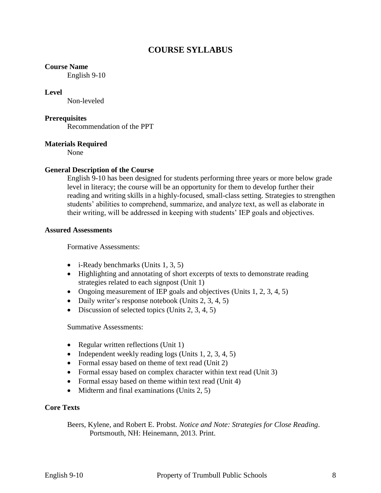## **COURSE SYLLABUS**

#### **Course Name**

English 9-10

#### **Level**

Non-leveled

#### **Prerequisites**

Recommendation of the PPT

#### **Materials Required**

None

#### **General Description of the Course**

English 9-10 has been designed for students performing three years or more below grade level in literacy; the course will be an opportunity for them to develop further their reading and writing skills in a highly-focused, small-class setting. Strategies to strengthen students' abilities to comprehend, summarize, and analyze text, as well as elaborate in their writing, will be addressed in keeping with students' IEP goals and objectives.

#### **Assured Assessments**

Formative Assessments:

- $\bullet$  i-Ready benchmarks (Units 1, 3, 5)
- Highlighting and annotating of short excerpts of texts to demonstrate reading strategies related to each signpost (Unit 1)
- Ongoing measurement of IEP goals and objectives (Units  $1, 2, 3, 4, 5$ )
- Daily writer's response notebook (Units 2, 3, 4, 5)
- $\bullet$  Discussion of selected topics (Units 2, 3, 4, 5)

Summative Assessments:

- Regular written reflections (Unit 1)
- Independent weekly reading logs (Units  $1, 2, 3, 4, 5$ )
- Formal essay based on theme of text read (Unit 2)
- Formal essay based on complex character within text read (Unit 3)
- Formal essay based on theme within text read (Unit 4)
- $\bullet$  Midterm and final examinations (Units 2, 5)

#### **Core Texts**

Beers, Kylene, and Robert E. Probst. *Notice and Note: Strategies for Close Reading*. Portsmouth, NH: Heinemann, 2013. Print.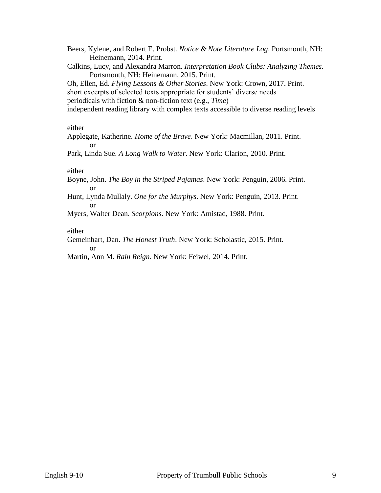Beers, Kylene, and Robert E. Probst. *Notice & Note Literature Log*. Portsmouth, NH: Heinemann, 2014. Print.

Calkins, Lucy, and Alexandra Marron. *Interpretation Book Clubs: Analyzing Themes*. Portsmouth, NH: Heinemann, 2015. Print.

Oh, Ellen, Ed. *Flying Lessons & Other Stories*. New York: Crown, 2017. Print. short excerpts of selected texts appropriate for students' diverse needs periodicals with fiction & non-fiction text (e.g., *Time*)

independent reading library with complex texts accessible to diverse reading levels

either

Applegate, Katherine. *Home of the Brave*. New York: Macmillan, 2011. Print. or

Park, Linda Sue. *A Long Walk to Water*. New York: Clarion, 2010. Print.

either

Boyne, John. *The Boy in the Striped Pajamas*. New York: Penguin, 2006. Print. or

Hunt, Lynda Mullaly. *One for the Murphys*. New York: Penguin, 2013. Print. or

Myers, Walter Dean. *Scorpions*. New York: Amistad, 1988. Print.

either

Gemeinhart, Dan. *The Honest Truth*. New York: Scholastic, 2015. Print. or

Martin, Ann M. *Rain Reign*. New York: Feiwel, 2014. Print.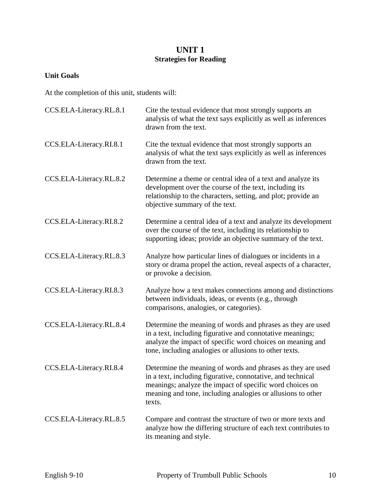## **UNIT 1 Strategies for Reading**

## **Unit Goals**

At the completion of this unit, students will:

| CCS.ELA-Literacy.RL.8.1 | Cite the textual evidence that most strongly supports an<br>analysis of what the text says explicitly as well as inferences<br>drawn from the text.                                                                                                             |
|-------------------------|-----------------------------------------------------------------------------------------------------------------------------------------------------------------------------------------------------------------------------------------------------------------|
| CCS.ELA-Literacy.RI.8.1 | Cite the textual evidence that most strongly supports an<br>analysis of what the text says explicitly as well as inferences<br>drawn from the text.                                                                                                             |
| CCS.ELA-Literacy.RL.8.2 | Determine a theme or central idea of a text and analyze its<br>development over the course of the text, including its<br>relationship to the characters, setting, and plot; provide an<br>objective summary of the text.                                        |
| CCS.ELA-Literacy.RI.8.2 | Determine a central idea of a text and analyze its development<br>over the course of the text, including its relationship to<br>supporting ideas; provide an objective summary of the text.                                                                     |
| CCS.ELA-Literacy.RL.8.3 | Analyze how particular lines of dialogues or incidents in a<br>story or drama propel the action, reveal aspects of a character,<br>or provoke a decision.                                                                                                       |
| CCS.ELA-Literacy.RI.8.3 | Analyze how a text makes connections among and distinctions<br>between individuals, ideas, or events (e.g., through<br>comparisons, analogies, or categories).                                                                                                  |
| CCS.ELA-Literacy.RL.8.4 | Determine the meaning of words and phrases as they are used<br>in a text, including figurative and connotative meanings;<br>analyze the impact of specific word choices on meaning and<br>tone, including analogies or allusions to other texts.                |
| CCS.ELA-Literacy.RI.8.4 | Determine the meaning of words and phrases as they are used<br>in a text, including figurative, connotative, and technical<br>meanings; analyze the impact of specific word choices on<br>meaning and tone, including analogies or allusions to other<br>texts. |
| CCS.ELA-Literacy.RL.8.5 | Compare and contrast the structure of two or more texts and<br>analyze how the differing structure of each text contributes to<br>its meaning and style.                                                                                                        |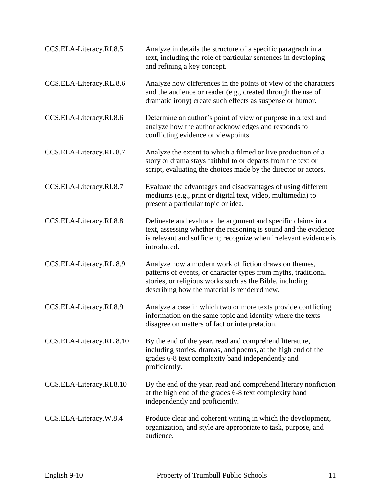| CCS.ELA-Literacy.RI.8.5  | Analyze in details the structure of a specific paragraph in a<br>text, including the role of particular sentences in developing<br>and refining a key concept.                                                                      |
|--------------------------|-------------------------------------------------------------------------------------------------------------------------------------------------------------------------------------------------------------------------------------|
| CCS.ELA-Literacy.RL.8.6  | Analyze how differences in the points of view of the characters<br>and the audience or reader (e.g., created through the use of<br>dramatic irony) create such effects as suspense or humor.                                        |
| CCS.ELA-Literacy.RI.8.6  | Determine an author's point of view or purpose in a text and<br>analyze how the author acknowledges and responds to<br>conflicting evidence or viewpoints.                                                                          |
| CCS.ELA-Literacy.RL.8.7  | Analyze the extent to which a filmed or live production of a<br>story or drama stays faithful to or departs from the text or<br>script, evaluating the choices made by the director or actors.                                      |
| CCS.ELA-Literacy.RI.8.7  | Evaluate the advantages and disadvantages of using different<br>mediums (e.g., print or digital text, video, multimedia) to<br>present a particular topic or idea.                                                                  |
| CCS.ELA-Literacy.RI.8.8  | Delineate and evaluate the argument and specific claims in a<br>text, assessing whether the reasoning is sound and the evidence<br>is relevant and sufficient; recognize when irrelevant evidence is<br>introduced.                 |
| CCS.ELA-Literacy.RL.8.9  | Analyze how a modern work of fiction draws on themes,<br>patterns of events, or character types from myths, traditional<br>stories, or religious works such as the Bible, including<br>describing how the material is rendered new. |
| CCS.ELA-Literacy.RI.8.9  | Analyze a case in which two or more texts provide conflicting<br>information on the same topic and identify where the texts<br>disagree on matters of fact or interpretation.                                                       |
| CCS.ELA-Literacy.RL.8.10 | By the end of the year, read and comprehend literature,<br>including stories, dramas, and poems, at the high end of the<br>grades 6-8 text complexity band independently and<br>proficiently.                                       |
| CCS.ELA-Literacy.RI.8.10 | By the end of the year, read and comprehend literary nonfiction<br>at the high end of the grades 6-8 text complexity band<br>independently and proficiently.                                                                        |
| CCS.ELA-Literacy.W.8.4   | Produce clear and coherent writing in which the development,<br>organization, and style are appropriate to task, purpose, and<br>audience.                                                                                          |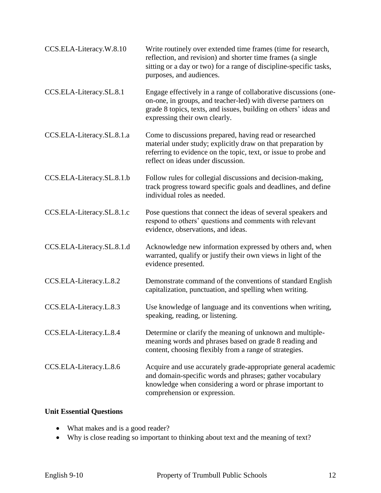| CCS.ELA-Literacy.W.8.10   | Write routinely over extended time frames (time for research,<br>reflection, and revision) and shorter time frames (a single<br>sitting or a day or two) for a range of discipline-specific tasks,<br>purposes, and audiences.        |
|---------------------------|---------------------------------------------------------------------------------------------------------------------------------------------------------------------------------------------------------------------------------------|
| CCS.ELA-Literacy.SL.8.1   | Engage effectively in a range of collaborative discussions (one-<br>on-one, in groups, and teacher-led) with diverse partners on<br>grade 8 topics, texts, and issues, building on others' ideas and<br>expressing their own clearly. |
| CCS.ELA-Literacy.SL.8.1.a | Come to discussions prepared, having read or researched<br>material under study; explicitly draw on that preparation by<br>referring to evidence on the topic, text, or issue to probe and<br>reflect on ideas under discussion.      |
| CCS.ELA-Literacy.SL.8.1.b | Follow rules for collegial discussions and decision-making,<br>track progress toward specific goals and deadlines, and define<br>individual roles as needed.                                                                          |
| CCS.ELA-Literacy.SL.8.1.c | Pose questions that connect the ideas of several speakers and<br>respond to others' questions and comments with relevant<br>evidence, observations, and ideas.                                                                        |
| CCS.ELA-Literacy.SL.8.1.d | Acknowledge new information expressed by others and, when<br>warranted, qualify or justify their own views in light of the<br>evidence presented.                                                                                     |
| CCS.ELA-Literacy.L.8.2    | Demonstrate command of the conventions of standard English<br>capitalization, punctuation, and spelling when writing.                                                                                                                 |
| CCS.ELA-Literacy.L.8.3    | Use knowledge of language and its conventions when writing,<br>speaking, reading, or listening.                                                                                                                                       |
| CCS.ELA-Literacy.L.8.4    | Determine or clarify the meaning of unknown and multiple-<br>meaning words and phrases based on grade 8 reading and<br>content, choosing flexibly from a range of strategies.                                                         |
| CCS.ELA-Literacy.L.8.6    | Acquire and use accurately grade-appropriate general academic<br>and domain-specific words and phrases; gather vocabulary<br>knowledge when considering a word or phrase important to<br>comprehension or expression.                 |

## **Unit Essential Questions**

- What makes and is a good reader?
- Why is close reading so important to thinking about text and the meaning of text?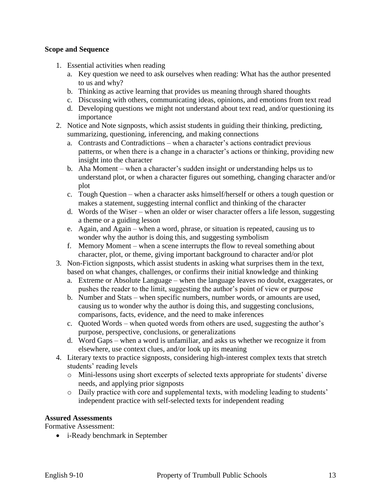#### **Scope and Sequence**

- 1. Essential activities when reading
	- a. Key question we need to ask ourselves when reading: What has the author presented to us and why?
	- b. Thinking as active learning that provides us meaning through shared thoughts
	- c. Discussing with others, communicating ideas, opinions, and emotions from text read
	- d. Developing questions we might not understand about text read, and/or questioning its importance
- 2. Notice and Note signposts, which assist students in guiding their thinking, predicting, summarizing, questioning, inferencing, and making connections
	- a. Contrasts and Contradictions when a character's actions contradict previous patterns, or when there is a change in a character's actions or thinking, providing new insight into the character
	- b. Aha Moment when a character's sudden insight or understanding helps us to understand plot, or when a character figures out something, changing character and/or plot
	- c. Tough Question when a character asks himself/herself or others a tough question or makes a statement, suggesting internal conflict and thinking of the character
	- d. Words of the Wiser when an older or wiser character offers a life lesson, suggesting a theme or a guiding lesson
	- e. Again, and Again when a word, phrase, or situation is repeated, causing us to wonder why the author is doing this, and suggesting symbolism
	- f. Memory Moment when a scene interrupts the flow to reveal something about character, plot, or theme, giving important background to character and/or plot
- 3. Non-Fiction signposts, which assist students in asking what surprises them in the text, based on what changes, challenges, or confirms their initial knowledge and thinking
	- a. Extreme or Absolute Language when the language leaves no doubt, exaggerates, or pushes the reader to the limit, suggesting the author's point of view or purpose
	- b. Number and Stats when specific numbers, number words, or amounts are used, causing us to wonder why the author is doing this, and suggesting conclusions, comparisons, facts, evidence, and the need to make inferences
	- c. Quoted Words when quoted words from others are used, suggesting the author's purpose, perspective, conclusions, or generalizations
	- d. Word Gaps when a word is unfamiliar, and asks us whether we recognize it from elsewhere, use context clues, and/or look up its meaning
- 4. Literary texts to practice signposts, considering high-interest complex texts that stretch students' reading levels
	- o Mini-lessons using short excerpts of selected texts appropriate for students' diverse needs, and applying prior signposts
	- o Daily practice with core and supplemental texts, with modeling leading to students' independent practice with self-selected texts for independent reading

## **Assured Assessments**

Formative Assessment:

i-Ready benchmark in September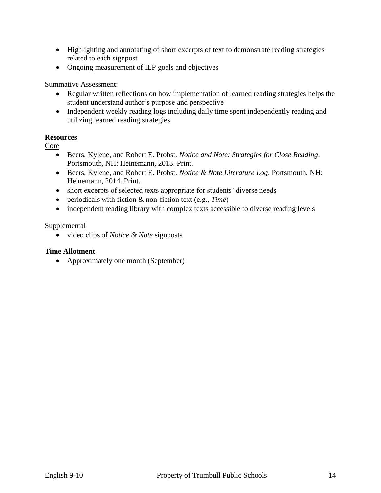- Highlighting and annotating of short excerpts of text to demonstrate reading strategies related to each signpost
- Ongoing measurement of IEP goals and objectives

Summative Assessment:

- Regular written reflections on how implementation of learned reading strategies helps the student understand author's purpose and perspective
- Independent weekly reading logs including daily time spent independently reading and utilizing learned reading strategies

## **Resources**

Core

- Beers, Kylene, and Robert E. Probst. *Notice and Note: Strategies for Close Reading*. Portsmouth, NH: Heinemann, 2013. Print.
- Beers, Kylene, and Robert E. Probst. *Notice & Note Literature Log*. Portsmouth, NH: Heinemann, 2014. Print.
- short excerpts of selected texts appropriate for students' diverse needs
- periodicals with fiction & non-fiction text (e.g., *Time*)
- independent reading library with complex texts accessible to diverse reading levels

## **Supplemental**

video clips of *Notice & Note* signposts

## **Time Allotment**

• Approximately one month (September)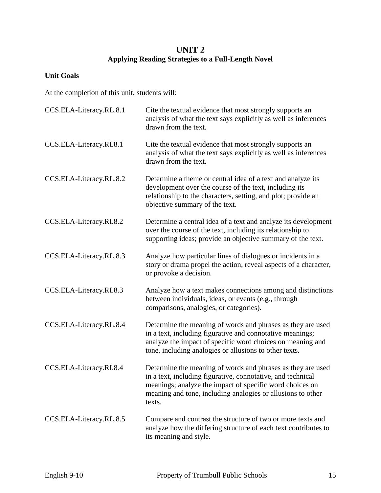## **UNIT 2 Applying Reading Strategies to a Full-Length Novel**

## **Unit Goals**

At the completion of this unit, students will:

| CCS.ELA-Literacy.RL.8.1 | Cite the textual evidence that most strongly supports an<br>analysis of what the text says explicitly as well as inferences<br>drawn from the text.                                                                                                             |
|-------------------------|-----------------------------------------------------------------------------------------------------------------------------------------------------------------------------------------------------------------------------------------------------------------|
| CCS.ELA-Literacy.RI.8.1 | Cite the textual evidence that most strongly supports an<br>analysis of what the text says explicitly as well as inferences<br>drawn from the text.                                                                                                             |
| CCS.ELA-Literacy.RL.8.2 | Determine a theme or central idea of a text and analyze its<br>development over the course of the text, including its<br>relationship to the characters, setting, and plot; provide an<br>objective summary of the text.                                        |
| CCS.ELA-Literacy.RI.8.2 | Determine a central idea of a text and analyze its development<br>over the course of the text, including its relationship to<br>supporting ideas; provide an objective summary of the text.                                                                     |
| CCS.ELA-Literacy.RL.8.3 | Analyze how particular lines of dialogues or incidents in a<br>story or drama propel the action, reveal aspects of a character,<br>or provoke a decision.                                                                                                       |
| CCS.ELA-Literacy.RI.8.3 | Analyze how a text makes connections among and distinctions<br>between individuals, ideas, or events (e.g., through<br>comparisons, analogies, or categories).                                                                                                  |
| CCS.ELA-Literacy.RL.8.4 | Determine the meaning of words and phrases as they are used<br>in a text, including figurative and connotative meanings;<br>analyze the impact of specific word choices on meaning and<br>tone, including analogies or allusions to other texts.                |
| CCS.ELA-Literacy.RI.8.4 | Determine the meaning of words and phrases as they are used<br>in a text, including figurative, connotative, and technical<br>meanings; analyze the impact of specific word choices on<br>meaning and tone, including analogies or allusions to other<br>texts. |
| CCS.ELA-Literacy.RL.8.5 | Compare and contrast the structure of two or more texts and<br>analyze how the differing structure of each text contributes to<br>its meaning and style.                                                                                                        |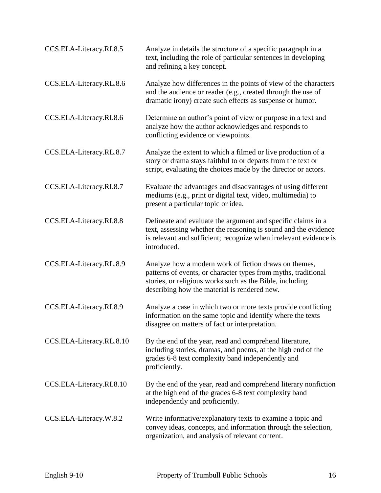| CCS.ELA-Literacy.RI.8.5  | Analyze in details the structure of a specific paragraph in a<br>text, including the role of particular sentences in developing<br>and refining a key concept.                                                                      |
|--------------------------|-------------------------------------------------------------------------------------------------------------------------------------------------------------------------------------------------------------------------------------|
| CCS.ELA-Literacy.RL.8.6  | Analyze how differences in the points of view of the characters<br>and the audience or reader (e.g., created through the use of<br>dramatic irony) create such effects as suspense or humor.                                        |
| CCS.ELA-Literacy.RI.8.6  | Determine an author's point of view or purpose in a text and<br>analyze how the author acknowledges and responds to<br>conflicting evidence or viewpoints.                                                                          |
| CCS.ELA-Literacy.RL.8.7  | Analyze the extent to which a filmed or live production of a<br>story or drama stays faithful to or departs from the text or<br>script, evaluating the choices made by the director or actors.                                      |
| CCS.ELA-Literacy.RI.8.7  | Evaluate the advantages and disadvantages of using different<br>mediums (e.g., print or digital text, video, multimedia) to<br>present a particular topic or idea.                                                                  |
| CCS.ELA-Literacy.RI.8.8  | Delineate and evaluate the argument and specific claims in a<br>text, assessing whether the reasoning is sound and the evidence<br>is relevant and sufficient; recognize when irrelevant evidence is<br>introduced.                 |
| CCS.ELA-Literacy.RL.8.9  | Analyze how a modern work of fiction draws on themes,<br>patterns of events, or character types from myths, traditional<br>stories, or religious works such as the Bible, including<br>describing how the material is rendered new. |
| CCS.ELA-Literacy.RI.8.9  | Analyze a case in which two or more texts provide conflicting<br>information on the same topic and identify where the texts<br>disagree on matters of fact or interpretation.                                                       |
| CCS.ELA-Literacy.RL.8.10 | By the end of the year, read and comprehend literature,<br>including stories, dramas, and poems, at the high end of the<br>grades 6-8 text complexity band independently and<br>proficiently.                                       |
| CCS.ELA-Literacy.RI.8.10 | By the end of the year, read and comprehend literary nonfiction<br>at the high end of the grades 6-8 text complexity band<br>independently and proficiently.                                                                        |
| CCS.ELA-Literacy.W.8.2   | Write informative/explanatory texts to examine a topic and<br>convey ideas, concepts, and information through the selection,<br>organization, and analysis of relevant content.                                                     |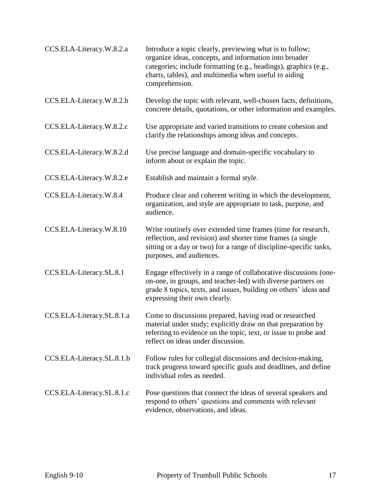| CCS.ELA-Literacy.W.8.2.a  | Introduce a topic clearly, previewing what is to follow;<br>organize ideas, concepts, and information into broader<br>categories; include formatting (e.g., headings), graphics (e.g.,<br>charts, tables), and multimedia when useful to aiding<br>comprehension. |
|---------------------------|-------------------------------------------------------------------------------------------------------------------------------------------------------------------------------------------------------------------------------------------------------------------|
| CCS.ELA-Literacy.W.8.2.b  | Develop the topic with relevant, well-chosen facts, definitions,<br>concrete details, quotations, or other information and examples.                                                                                                                              |
| CCS.ELA-Literacy.W.8.2.c  | Use appropriate and varied transitions to create cohesion and<br>clarify the relationships among ideas and concepts.                                                                                                                                              |
| CCS.ELA-Literacy.W.8.2.d  | Use precise language and domain-specific vocabulary to<br>inform about or explain the topic.                                                                                                                                                                      |
| CCS.ELA-Literacy.W.8.2.e  | Establish and maintain a formal style.                                                                                                                                                                                                                            |
| CCS.ELA-Literacy.W.8.4    | Produce clear and coherent writing in which the development,<br>organization, and style are appropriate to task, purpose, and<br>audience.                                                                                                                        |
| CCS.ELA-Literacy.W.8.10   | Write routinely over extended time frames (time for research,<br>reflection, and revision) and shorter time frames (a single<br>sitting or a day or two) for a range of discipline-specific tasks,<br>purposes, and audiences.                                    |
| CCS.ELA-Literacy.SL.8.1   | Engage effectively in a range of collaborative discussions (one-<br>on-one, in groups, and teacher-led) with diverse partners on<br>grade 8 topics, texts, and issues, building on others' ideas and<br>expressing their own clearly.                             |
| CCS.ELA-Literacy.SL.8.1.a | Come to discussions prepared, having read or researched<br>material under study; explicitly draw on that preparation by<br>referring to evidence on the topic, text, or issue to probe and<br>reflect on ideas under discussion.                                  |
| CCS.ELA-Literacy.SL.8.1.b | Follow rules for collegial discussions and decision-making,<br>track progress toward specific goals and deadlines, and define<br>individual roles as needed.                                                                                                      |
| CCS.ELA-Literacy.SL.8.1.c | Pose questions that connect the ideas of several speakers and<br>respond to others' questions and comments with relevant<br>evidence, observations, and ideas.                                                                                                    |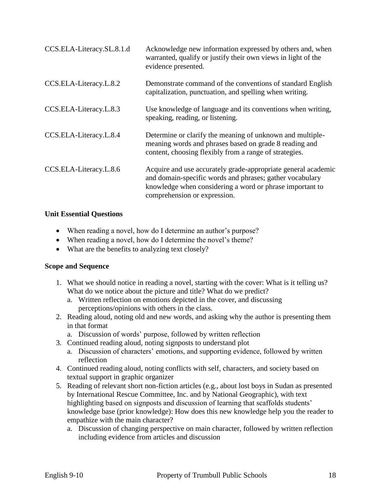| CCS.ELA-Literacy.SL.8.1.d | Acknowledge new information expressed by others and, when<br>warranted, qualify or justify their own views in light of the<br>evidence presented.                                                                     |
|---------------------------|-----------------------------------------------------------------------------------------------------------------------------------------------------------------------------------------------------------------------|
| CCS.ELA-Literacy.L.8.2    | Demonstrate command of the conventions of standard English<br>capitalization, punctuation, and spelling when writing.                                                                                                 |
| CCS.ELA-Literacy.L.8.3    | Use knowledge of language and its conventions when writing,<br>speaking, reading, or listening.                                                                                                                       |
| CCS.ELA-Literacy.L.8.4    | Determine or clarify the meaning of unknown and multiple-<br>meaning words and phrases based on grade 8 reading and<br>content, choosing flexibly from a range of strategies.                                         |
| CCS.ELA-Literacy.L.8.6    | Acquire and use accurately grade-appropriate general academic<br>and domain-specific words and phrases; gather vocabulary<br>knowledge when considering a word or phrase important to<br>comprehension or expression. |

#### **Unit Essential Questions**

- When reading a novel, how do I determine an author's purpose?
- When reading a novel, how do I determine the novel's theme?
- What are the benefits to analyzing text closely?

## **Scope and Sequence**

- 1. What we should notice in reading a novel, starting with the cover: What is it telling us? What do we notice about the picture and title? What do we predict?
	- a. Written reflection on emotions depicted in the cover, and discussing perceptions/opinions with others in the class.
- 2. Reading aloud, noting old and new words, and asking why the author is presenting them in that format
	- a. Discussion of words' purpose, followed by written reflection
- 3. Continued reading aloud, noting signposts to understand plot
	- a. Discussion of characters' emotions, and supporting evidence, followed by written reflection
- 4. Continued reading aloud, noting conflicts with self, characters, and society based on textual support in graphic organizer
- 5. Reading of relevant short non-fiction articles (e.g., about lost boys in Sudan as presented by International Rescue Committee, Inc. and by National Geographic), with text highlighting based on signposts and discussion of learning that scaffolds students' knowledge base (prior knowledge): How does this new knowledge help you the reader to empathize with the main character?
	- a. Discussion of changing perspective on main character, followed by written reflection including evidence from articles and discussion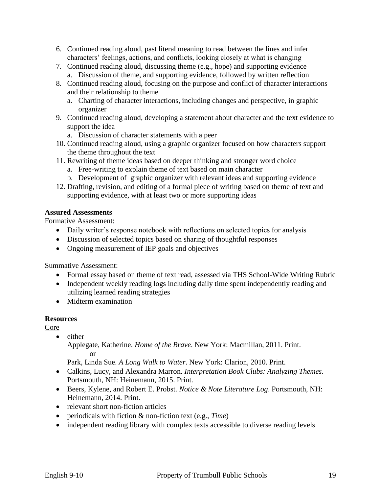- 6. Continued reading aloud, past literal meaning to read between the lines and infer characters' feelings, actions, and conflicts, looking closely at what is changing
- 7. Continued reading aloud, discussing theme (e.g., hope) and supporting evidence
	- a. Discussion of theme, and supporting evidence, followed by written reflection
- 8. Continued reading aloud, focusing on the purpose and conflict of character interactions and their relationship to theme
	- a. Charting of character interactions, including changes and perspective, in graphic organizer
- 9. Continued reading aloud, developing a statement about character and the text evidence to support the idea
	- a. Discussion of character statements with a peer
- 10. Continued reading aloud, using a graphic organizer focused on how characters support the theme throughout the text
- 11. Rewriting of theme ideas based on deeper thinking and stronger word choice
	- a. Free-writing to explain theme of text based on main character
	- b. Development of graphic organizer with relevant ideas and supporting evidence
- 12. Drafting, revision, and editing of a formal piece of writing based on theme of text and supporting evidence, with at least two or more supporting ideas

## **Assured Assessments**

Formative Assessment:

- Daily writer's response notebook with reflections on selected topics for analysis
- Discussion of selected topics based on sharing of thoughtful responses
- Ongoing measurement of IEP goals and objectives

Summative Assessment:

- Formal essay based on theme of text read, assessed via THS School-Wide Writing Rubric
- Independent weekly reading logs including daily time spent independently reading and utilizing learned reading strategies
- Midterm examination

## **Resources**

Core

• either

Applegate, Katherine. *Home of the Brave*. New York: Macmillan, 2011. Print. or

Park, Linda Sue. *A Long Walk to Water*. New York: Clarion, 2010. Print.

- Calkins, Lucy, and Alexandra Marron. *Interpretation Book Clubs: Analyzing Themes*. Portsmouth, NH: Heinemann, 2015. Print.
- Beers, Kylene, and Robert E. Probst. *Notice & Note Literature Log*. Portsmouth, NH: Heinemann, 2014. Print.
- relevant short non-fiction articles
- periodicals with fiction & non-fiction text (e.g., *Time*)
- independent reading library with complex texts accessible to diverse reading levels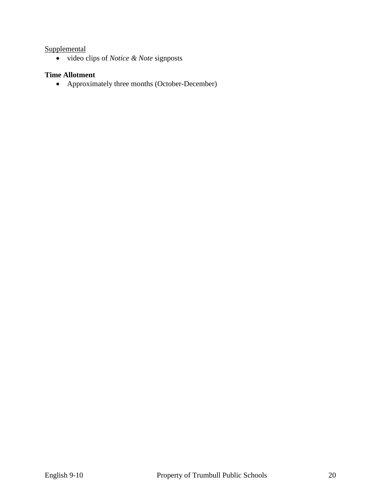## **Supplemental**

video clips of *Notice & Note* signposts

## **Time Allotment**

Approximately three months (October-December)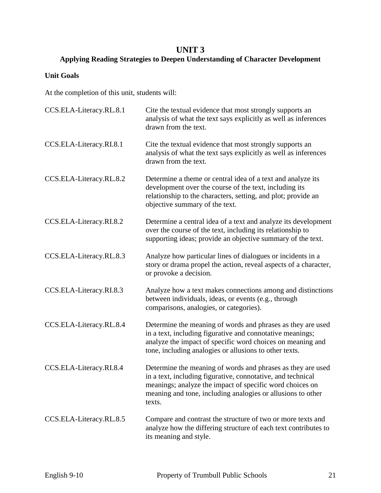## **UNIT 3**

## **Applying Reading Strategies to Deepen Understanding of Character Development**

## **Unit Goals**

At the completion of this unit, students will:

| CCS.ELA-Literacy.RL.8.1 | Cite the textual evidence that most strongly supports an<br>analysis of what the text says explicitly as well as inferences<br>drawn from the text.                                                                                                             |
|-------------------------|-----------------------------------------------------------------------------------------------------------------------------------------------------------------------------------------------------------------------------------------------------------------|
| CCS.ELA-Literacy.RI.8.1 | Cite the textual evidence that most strongly supports an<br>analysis of what the text says explicitly as well as inferences<br>drawn from the text.                                                                                                             |
| CCS.ELA-Literacy.RL.8.2 | Determine a theme or central idea of a text and analyze its<br>development over the course of the text, including its<br>relationship to the characters, setting, and plot; provide an<br>objective summary of the text.                                        |
| CCS.ELA-Literacy.RI.8.2 | Determine a central idea of a text and analyze its development<br>over the course of the text, including its relationship to<br>supporting ideas; provide an objective summary of the text.                                                                     |
| CCS.ELA-Literacy.RL.8.3 | Analyze how particular lines of dialogues or incidents in a<br>story or drama propel the action, reveal aspects of a character,<br>or provoke a decision.                                                                                                       |
| CCS.ELA-Literacy.RI.8.3 | Analyze how a text makes connections among and distinctions<br>between individuals, ideas, or events (e.g., through<br>comparisons, analogies, or categories).                                                                                                  |
| CCS.ELA-Literacy.RL.8.4 | Determine the meaning of words and phrases as they are used<br>in a text, including figurative and connotative meanings;<br>analyze the impact of specific word choices on meaning and<br>tone, including analogies or allusions to other texts.                |
| CCS.ELA-Literacy.RI.8.4 | Determine the meaning of words and phrases as they are used<br>in a text, including figurative, connotative, and technical<br>meanings; analyze the impact of specific word choices on<br>meaning and tone, including analogies or allusions to other<br>texts. |
| CCS.ELA-Literacy.RL.8.5 | Compare and contrast the structure of two or more texts and<br>analyze how the differing structure of each text contributes to<br>its meaning and style.                                                                                                        |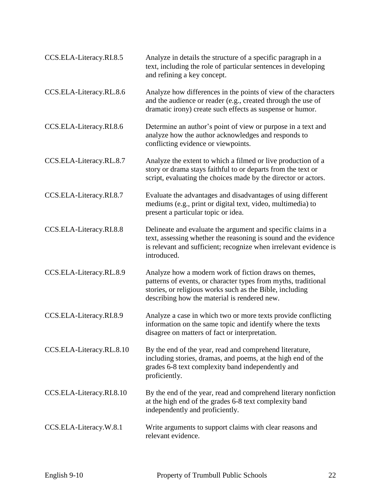| CCS.ELA-Literacy.RI.8.5  | Analyze in details the structure of a specific paragraph in a<br>text, including the role of particular sentences in developing<br>and refining a key concept.                                                                      |
|--------------------------|-------------------------------------------------------------------------------------------------------------------------------------------------------------------------------------------------------------------------------------|
| CCS.ELA-Literacy.RL.8.6  | Analyze how differences in the points of view of the characters<br>and the audience or reader (e.g., created through the use of<br>dramatic irony) create such effects as suspense or humor.                                        |
| CCS.ELA-Literacy.RI.8.6  | Determine an author's point of view or purpose in a text and<br>analyze how the author acknowledges and responds to<br>conflicting evidence or viewpoints.                                                                          |
| CCS.ELA-Literacy.RL.8.7  | Analyze the extent to which a filmed or live production of a<br>story or drama stays faithful to or departs from the text or<br>script, evaluating the choices made by the director or actors.                                      |
| CCS.ELA-Literacy.RI.8.7  | Evaluate the advantages and disadvantages of using different<br>mediums (e.g., print or digital text, video, multimedia) to<br>present a particular topic or idea.                                                                  |
| CCS.ELA-Literacy.RI.8.8  | Delineate and evaluate the argument and specific claims in a<br>text, assessing whether the reasoning is sound and the evidence<br>is relevant and sufficient; recognize when irrelevant evidence is<br>introduced.                 |
| CCS.ELA-Literacy.RL.8.9  | Analyze how a modern work of fiction draws on themes,<br>patterns of events, or character types from myths, traditional<br>stories, or religious works such as the Bible, including<br>describing how the material is rendered new. |
| CCS.ELA-Literacy.RI.8.9  | Analyze a case in which two or more texts provide conflicting<br>information on the same topic and identify where the texts<br>disagree on matters of fact or interpretation.                                                       |
| CCS.ELA-Literacy.RL.8.10 | By the end of the year, read and comprehend literature,<br>including stories, dramas, and poems, at the high end of the<br>grades 6-8 text complexity band independently and<br>proficiently.                                       |
| CCS.ELA-Literacy.RI.8.10 | By the end of the year, read and comprehend literary nonfiction<br>at the high end of the grades 6-8 text complexity band<br>independently and proficiently.                                                                        |
| CCS.ELA-Literacy.W.8.1   | Write arguments to support claims with clear reasons and<br>relevant evidence.                                                                                                                                                      |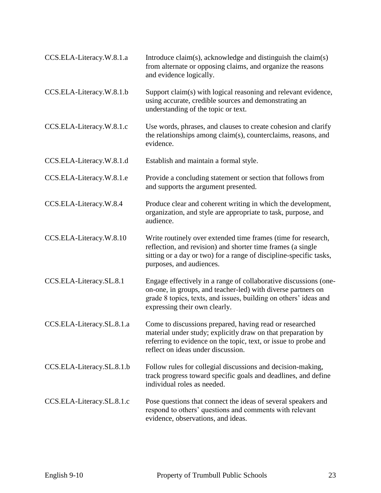| CCS.ELA-Literacy.W.8.1.a  | Introduce claim(s), acknowledge and distinguish the claim(s)<br>from alternate or opposing claims, and organize the reasons<br>and evidence logically.                                                                                |
|---------------------------|---------------------------------------------------------------------------------------------------------------------------------------------------------------------------------------------------------------------------------------|
| CCS.ELA-Literacy.W.8.1.b  | Support claim(s) with logical reasoning and relevant evidence,<br>using accurate, credible sources and demonstrating an<br>understanding of the topic or text.                                                                        |
| CCS.ELA-Literacy.W.8.1.c  | Use words, phrases, and clauses to create cohesion and clarify<br>the relationships among claim(s), counterclaims, reasons, and<br>evidence.                                                                                          |
| CCS.ELA-Literacy.W.8.1.d  | Establish and maintain a formal style.                                                                                                                                                                                                |
| CCS.ELA-Literacy.W.8.1.e  | Provide a concluding statement or section that follows from<br>and supports the argument presented.                                                                                                                                   |
| CCS.ELA-Literacy.W.8.4    | Produce clear and coherent writing in which the development,<br>organization, and style are appropriate to task, purpose, and<br>audience.                                                                                            |
| CCS.ELA-Literacy.W.8.10   | Write routinely over extended time frames (time for research,<br>reflection, and revision) and shorter time frames (a single<br>sitting or a day or two) for a range of discipline-specific tasks,<br>purposes, and audiences.        |
| CCS.ELA-Literacy.SL.8.1   | Engage effectively in a range of collaborative discussions (one-<br>on-one, in groups, and teacher-led) with diverse partners on<br>grade 8 topics, texts, and issues, building on others' ideas and<br>expressing their own clearly. |
| CCS.ELA-Literacy.SL.8.1.a | Come to discussions prepared, having read or researched<br>material under study; explicitly draw on that preparation by<br>referring to evidence on the topic, text, or issue to probe and<br>reflect on ideas under discussion.      |
| CCS.ELA-Literacy.SL.8.1.b | Follow rules for collegial discussions and decision-making,<br>track progress toward specific goals and deadlines, and define<br>individual roles as needed.                                                                          |
| CCS.ELA-Literacy.SL.8.1.c | Pose questions that connect the ideas of several speakers and<br>respond to others' questions and comments with relevant<br>evidence, observations, and ideas.                                                                        |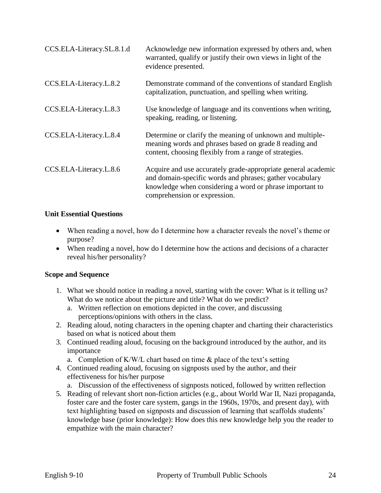| CCS.ELA-Literacy.SL.8.1.d | Acknowledge new information expressed by others and, when<br>warranted, qualify or justify their own views in light of the<br>evidence presented.                                                                     |
|---------------------------|-----------------------------------------------------------------------------------------------------------------------------------------------------------------------------------------------------------------------|
| CCS.ELA-Literacy.L.8.2    | Demonstrate command of the conventions of standard English<br>capitalization, punctuation, and spelling when writing.                                                                                                 |
| CCS.ELA-Literacy.L.8.3    | Use knowledge of language and its conventions when writing,<br>speaking, reading, or listening.                                                                                                                       |
| CCS.ELA-Literacy.L.8.4    | Determine or clarify the meaning of unknown and multiple-<br>meaning words and phrases based on grade 8 reading and<br>content, choosing flexibly from a range of strategies.                                         |
| CCS.ELA-Literacy.L.8.6    | Acquire and use accurately grade-appropriate general academic<br>and domain-specific words and phrases; gather vocabulary<br>knowledge when considering a word or phrase important to<br>comprehension or expression. |

## **Unit Essential Questions**

- When reading a novel, how do I determine how a character reveals the novel's theme or purpose?
- When reading a novel, how do I determine how the actions and decisions of a character reveal his/her personality?

#### **Scope and Sequence**

- 1. What we should notice in reading a novel, starting with the cover: What is it telling us? What do we notice about the picture and title? What do we predict?
	- a. Written reflection on emotions depicted in the cover, and discussing perceptions/opinions with others in the class.
- 2. Reading aloud, noting characters in the opening chapter and charting their characteristics based on what is noticed about them
- 3. Continued reading aloud, focusing on the background introduced by the author, and its importance
	- a. Completion of K/W/L chart based on time & place of the text's setting
- 4. Continued reading aloud, focusing on signposts used by the author, and their effectiveness for his/her purpose
	- a. Discussion of the effectiveness of signposts noticed, followed by written reflection
- 5. Reading of relevant short non-fiction articles (e.g., about World War II, Nazi propaganda, foster care and the foster care system, gangs in the 1960s, 1970s, and present day), with text highlighting based on signposts and discussion of learning that scaffolds students' knowledge base (prior knowledge): How does this new knowledge help you the reader to empathize with the main character?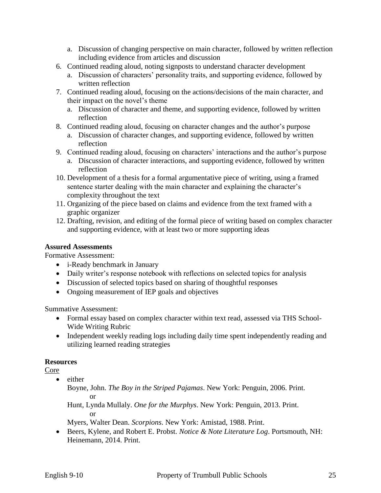- a. Discussion of changing perspective on main character, followed by written reflection including evidence from articles and discussion
- 6. Continued reading aloud, noting signposts to understand character development
	- a. Discussion of characters' personality traits, and supporting evidence, followed by written reflection
- 7. Continued reading aloud, focusing on the actions/decisions of the main character, and their impact on the novel's theme
	- a. Discussion of character and theme, and supporting evidence, followed by written reflection
- 8. Continued reading aloud, focusing on character changes and the author's purpose
	- a. Discussion of character changes, and supporting evidence, followed by written reflection
- 9. Continued reading aloud, focusing on characters' interactions and the author's purpose
	- a. Discussion of character interactions, and supporting evidence, followed by written reflection
- 10. Development of a thesis for a formal argumentative piece of writing, using a framed sentence starter dealing with the main character and explaining the character's complexity throughout the text
- 11. Organizing of the piece based on claims and evidence from the text framed with a graphic organizer
- 12. Drafting, revision, and editing of the formal piece of writing based on complex character and supporting evidence, with at least two or more supporting ideas

## **Assured Assessments**

Formative Assessment:

- *i*-Ready benchmark in January
- Daily writer's response notebook with reflections on selected topics for analysis
- Discussion of selected topics based on sharing of thoughtful responses
- Ongoing measurement of IEP goals and objectives

Summative Assessment:

- Formal essay based on complex character within text read, assessed via THS School-Wide Writing Rubric
- Independent weekly reading logs including daily time spent independently reading and utilizing learned reading strategies

## **Resources**

Core

- either
	- Boyne, John. *The Boy in the Striped Pajamas*. New York: Penguin, 2006. Print. or

Hunt, Lynda Mullaly. *One for the Murphys*. New York: Penguin, 2013. Print. or

Myers, Walter Dean. *Scorpions*. New York: Amistad, 1988. Print.

 Beers, Kylene, and Robert E. Probst. *Notice & Note Literature Log*. Portsmouth, NH: Heinemann, 2014. Print.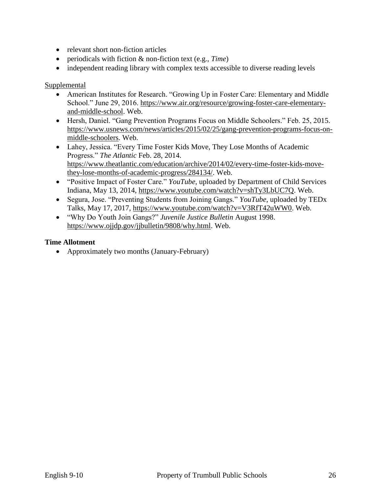- relevant short non-fiction articles
- periodicals with fiction & non-fiction text (e.g., *Time*)
- independent reading library with complex texts accessible to diverse reading levels

#### Supplemental

- American Institutes for Research. "Growing Up in Foster Care: Elementary and Middle School." June 29, 2016. [https://www.air.org/resource/growing-foster-care-elementary](https://www.air.org/resource/growing-foster-care-elementary-and-middle-school)[and-middle-school.](https://www.air.org/resource/growing-foster-care-elementary-and-middle-school) Web.
- Hersh, Daniel. "Gang Prevention Programs Focus on Middle Schoolers." Feb. 25, 2015. [https://www.usnews.com/news/articles/2015/02/25/gang-prevention-programs-focus-on](https://www.usnews.com/news/articles/2015/02/25/gang-prevention-programs-focus-on-middle-schoolers)[middle-schoolers.](https://www.usnews.com/news/articles/2015/02/25/gang-prevention-programs-focus-on-middle-schoolers) Web.
- Lahey, Jessica. "Every Time Foster Kids Move, They Lose Months of Academic Progress." *The Atlantic* Feb. 28, 2014. [https://www.theatlantic.com/education/archive/2014/02/every-time-foster-kids-move](https://www.theatlantic.com/education/archive/2014/02/every-time-foster-kids-move-they-lose-months-of-academic-progress/284134/)[they-lose-months-of-academic-progress/284134/.](https://www.theatlantic.com/education/archive/2014/02/every-time-foster-kids-move-they-lose-months-of-academic-progress/284134/) Web.
- "Positive Impact of Foster Care." *YouTube*, uploaded by Department of Child Services Indiana, May 13, 2014, [https://www.youtube.com/watch?v=shTy3LbUC7Q.](https://www.youtube.com/watch?v=shTy3LbUC7Q) Web.
- Segura, Jose. "Preventing Students from Joining Gangs." *YouTube*, uploaded by TEDx Talks, May 17, 2017, [https://www.youtube.com/watch?v=V3RfT42uWW0.](https://www.youtube.com/watch?v=V3RfT42uWW0) Web.
- "Why Do Youth Join Gangs?" *Juvenile Justice Bulletin* August 1998. [https://www.ojjdp.gov/jjbulletin/9808/why.html.](https://www.ojjdp.gov/jjbulletin/9808/why.html) Web.

#### **Time Allotment**

• Approximately two months (January-February)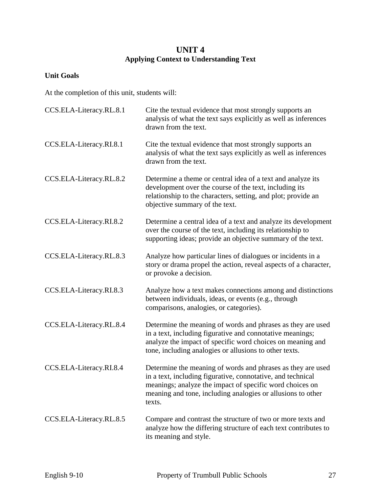## **UNIT 4 Applying Context to Understanding Text**

## **Unit Goals**

At the completion of this unit, students will:

| CCS.ELA-Literacy.RL.8.1 | Cite the textual evidence that most strongly supports an<br>analysis of what the text says explicitly as well as inferences<br>drawn from the text.                                                                                                             |
|-------------------------|-----------------------------------------------------------------------------------------------------------------------------------------------------------------------------------------------------------------------------------------------------------------|
| CCS.ELA-Literacy.RI.8.1 | Cite the textual evidence that most strongly supports an<br>analysis of what the text says explicitly as well as inferences<br>drawn from the text.                                                                                                             |
| CCS.ELA-Literacy.RL.8.2 | Determine a theme or central idea of a text and analyze its<br>development over the course of the text, including its<br>relationship to the characters, setting, and plot; provide an<br>objective summary of the text.                                        |
| CCS.ELA-Literacy.RI.8.2 | Determine a central idea of a text and analyze its development<br>over the course of the text, including its relationship to<br>supporting ideas; provide an objective summary of the text.                                                                     |
| CCS.ELA-Literacy.RL.8.3 | Analyze how particular lines of dialogues or incidents in a<br>story or drama propel the action, reveal aspects of a character,<br>or provoke a decision.                                                                                                       |
| CCS.ELA-Literacy.RI.8.3 | Analyze how a text makes connections among and distinctions<br>between individuals, ideas, or events (e.g., through<br>comparisons, analogies, or categories).                                                                                                  |
| CCS.ELA-Literacy.RL.8.4 | Determine the meaning of words and phrases as they are used<br>in a text, including figurative and connotative meanings;<br>analyze the impact of specific word choices on meaning and<br>tone, including analogies or allusions to other texts.                |
| CCS.ELA-Literacy.RI.8.4 | Determine the meaning of words and phrases as they are used<br>in a text, including figurative, connotative, and technical<br>meanings; analyze the impact of specific word choices on<br>meaning and tone, including analogies or allusions to other<br>texts. |
| CCS.ELA-Literacy.RL.8.5 | Compare and contrast the structure of two or more texts and<br>analyze how the differing structure of each text contributes to<br>its meaning and style.                                                                                                        |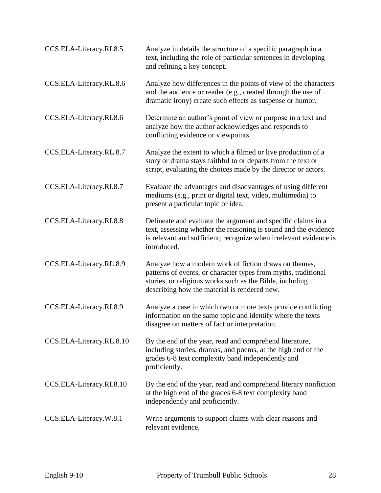| CCS.ELA-Literacy.RI.8.5  | Analyze in details the structure of a specific paragraph in a<br>text, including the role of particular sentences in developing<br>and refining a key concept.                                                                      |
|--------------------------|-------------------------------------------------------------------------------------------------------------------------------------------------------------------------------------------------------------------------------------|
| CCS.ELA-Literacy.RL.8.6  | Analyze how differences in the points of view of the characters<br>and the audience or reader (e.g., created through the use of<br>dramatic irony) create such effects as suspense or humor.                                        |
| CCS.ELA-Literacy.RI.8.6  | Determine an author's point of view or purpose in a text and<br>analyze how the author acknowledges and responds to<br>conflicting evidence or viewpoints.                                                                          |
| CCS.ELA-Literacy.RL.8.7  | Analyze the extent to which a filmed or live production of a<br>story or drama stays faithful to or departs from the text or<br>script, evaluating the choices made by the director or actors.                                      |
| CCS.ELA-Literacy.RI.8.7  | Evaluate the advantages and disadvantages of using different<br>mediums (e.g., print or digital text, video, multimedia) to<br>present a particular topic or idea.                                                                  |
| CCS.ELA-Literacy.RI.8.8  | Delineate and evaluate the argument and specific claims in a<br>text, assessing whether the reasoning is sound and the evidence<br>is relevant and sufficient; recognize when irrelevant evidence is<br>introduced.                 |
| CCS.ELA-Literacy.RL.8.9  | Analyze how a modern work of fiction draws on themes,<br>patterns of events, or character types from myths, traditional<br>stories, or religious works such as the Bible, including<br>describing how the material is rendered new. |
| CCS.ELA-Literacy.RI.8.9  | Analyze a case in which two or more texts provide conflicting<br>information on the same topic and identify where the texts<br>disagree on matters of fact or interpretation.                                                       |
| CCS.ELA-Literacy.RL.8.10 | By the end of the year, read and comprehend literature,<br>including stories, dramas, and poems, at the high end of the<br>grades 6-8 text complexity band independently and<br>proficiently.                                       |
| CCS.ELA-Literacy.RI.8.10 | By the end of the year, read and comprehend literary nonfiction<br>at the high end of the grades 6-8 text complexity band<br>independently and proficiently.                                                                        |
| CCS.ELA-Literacy.W.8.1   | Write arguments to support claims with clear reasons and<br>relevant evidence.                                                                                                                                                      |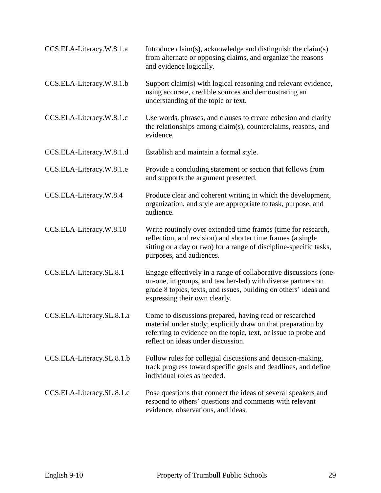| CCS.ELA-Literacy.W.8.1.a  | Introduce claim(s), acknowledge and distinguish the claim(s)<br>from alternate or opposing claims, and organize the reasons<br>and evidence logically.                                                                                |
|---------------------------|---------------------------------------------------------------------------------------------------------------------------------------------------------------------------------------------------------------------------------------|
| CCS.ELA-Literacy.W.8.1.b  | Support claim(s) with logical reasoning and relevant evidence,<br>using accurate, credible sources and demonstrating an<br>understanding of the topic or text.                                                                        |
| CCS.ELA-Literacy.W.8.1.c  | Use words, phrases, and clauses to create cohesion and clarify<br>the relationships among claim(s), counterclaims, reasons, and<br>evidence.                                                                                          |
| CCS.ELA-Literacy.W.8.1.d  | Establish and maintain a formal style.                                                                                                                                                                                                |
| CCS.ELA-Literacy.W.8.1.e  | Provide a concluding statement or section that follows from<br>and supports the argument presented.                                                                                                                                   |
| CCS.ELA-Literacy.W.8.4    | Produce clear and coherent writing in which the development,<br>organization, and style are appropriate to task, purpose, and<br>audience.                                                                                            |
| CCS.ELA-Literacy.W.8.10   | Write routinely over extended time frames (time for research,<br>reflection, and revision) and shorter time frames (a single<br>sitting or a day or two) for a range of discipline-specific tasks,<br>purposes, and audiences.        |
| CCS.ELA-Literacy.SL.8.1   | Engage effectively in a range of collaborative discussions (one-<br>on-one, in groups, and teacher-led) with diverse partners on<br>grade 8 topics, texts, and issues, building on others' ideas and<br>expressing their own clearly. |
| CCS.ELA-Literacy.SL.8.1.a | Come to discussions prepared, having read or researched<br>material under study; explicitly draw on that preparation by<br>referring to evidence on the topic, text, or issue to probe and<br>reflect on ideas under discussion.      |
| CCS.ELA-Literacy.SL.8.1.b | Follow rules for collegial discussions and decision-making,<br>track progress toward specific goals and deadlines, and define<br>individual roles as needed.                                                                          |
| CCS.ELA-Literacy.SL.8.1.c | Pose questions that connect the ideas of several speakers and<br>respond to others' questions and comments with relevant<br>evidence, observations, and ideas.                                                                        |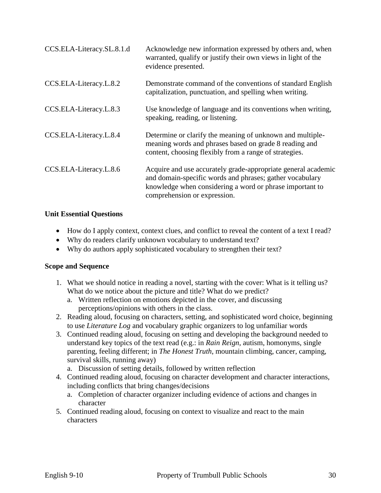| CCS.ELA-Literacy.SL.8.1.d | Acknowledge new information expressed by others and, when<br>warranted, qualify or justify their own views in light of the<br>evidence presented.                                                                     |
|---------------------------|-----------------------------------------------------------------------------------------------------------------------------------------------------------------------------------------------------------------------|
| CCS.ELA-Literacy.L.8.2    | Demonstrate command of the conventions of standard English<br>capitalization, punctuation, and spelling when writing.                                                                                                 |
| CCS.ELA-Literacy.L.8.3    | Use knowledge of language and its conventions when writing,<br>speaking, reading, or listening.                                                                                                                       |
| CCS.ELA-Literacy.L.8.4    | Determine or clarify the meaning of unknown and multiple-<br>meaning words and phrases based on grade 8 reading and<br>content, choosing flexibly from a range of strategies.                                         |
| CCS.ELA-Literacy.L.8.6    | Acquire and use accurately grade-appropriate general academic<br>and domain-specific words and phrases; gather vocabulary<br>knowledge when considering a word or phrase important to<br>comprehension or expression. |

#### **Unit Essential Questions**

- How do I apply context, context clues, and conflict to reveal the content of a text I read?
- Why do readers clarify unknown vocabulary to understand text?
- Why do authors apply sophisticated vocabulary to strengthen their text?

#### **Scope and Sequence**

- 1. What we should notice in reading a novel, starting with the cover: What is it telling us? What do we notice about the picture and title? What do we predict?
	- a. Written reflection on emotions depicted in the cover, and discussing perceptions/opinions with others in the class.
- 2. Reading aloud, focusing on characters, setting, and sophisticated word choice, beginning to use *Literature Log* and vocabulary graphic organizers to log unfamiliar words
- 3. Continued reading aloud, focusing on setting and developing the background needed to understand key topics of the text read (e.g.: in *Rain Reign*, autism, homonyms, single parenting, feeling different; in *The Honest Truth*, mountain climbing, cancer, camping, survival skills, running away)
	- a. Discussion of setting details, followed by written reflection
- 4. Continued reading aloud, focusing on character development and character interactions, including conflicts that bring changes/decisions
	- a. Completion of character organizer including evidence of actions and changes in character
- 5. Continued reading aloud, focusing on context to visualize and react to the main characters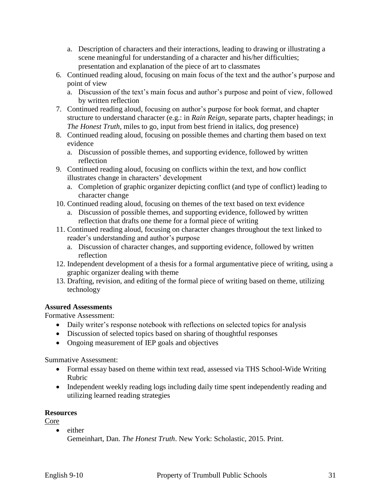- a. Description of characters and their interactions, leading to drawing or illustrating a scene meaningful for understanding of a character and his/her difficulties; presentation and explanation of the piece of art to classmates
- 6. Continued reading aloud, focusing on main focus of the text and the author's purpose and point of view
	- a. Discussion of the text's main focus and author's purpose and point of view, followed by written reflection
- 7. Continued reading aloud, focusing on author's purpose for book format, and chapter structure to understand character (e.g.: in *Rain Reign*, separate parts, chapter headings; in *The Honest Truth*, miles to go, input from best friend in italics, dog presence)
- 8. Continued reading aloud, focusing on possible themes and charting them based on text evidence
	- a. Discussion of possible themes, and supporting evidence, followed by written reflection
- 9. Continued reading aloud, focusing on conflicts within the text, and how conflict illustrates change in characters' development
	- a. Completion of graphic organizer depicting conflict (and type of conflict) leading to character change
- 10. Continued reading aloud, focusing on themes of the text based on text evidence
	- a. Discussion of possible themes, and supporting evidence, followed by written reflection that drafts one theme for a formal piece of writing
- 11. Continued reading aloud, focusing on character changes throughout the text linked to reader's understanding and author's purpose
	- a. Discussion of character changes, and supporting evidence, followed by written reflection
- 12. Independent development of a thesis for a formal argumentative piece of writing, using a graphic organizer dealing with theme
- 13. Drafting, revision, and editing of the formal piece of writing based on theme, utilizing technology

## **Assured Assessments**

Formative Assessment:

- Daily writer's response notebook with reflections on selected topics for analysis
- Discussion of selected topics based on sharing of thoughtful responses
- Ongoing measurement of IEP goals and objectives

Summative Assessment:

- Formal essay based on theme within text read, assessed via THS School-Wide Writing Rubric
- Independent weekly reading logs including daily time spent independently reading and utilizing learned reading strategies

## **Resources**

Core

• either Gemeinhart, Dan. *The Honest Truth*. New York: Scholastic, 2015. Print.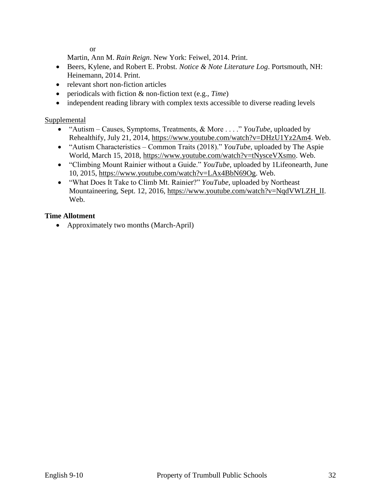or

Martin, Ann M. *Rain Reign*. New York: Feiwel, 2014. Print.

- Beers, Kylene, and Robert E. Probst. *Notice & Note Literature Log*. Portsmouth, NH: Heinemann, 2014. Print.
- relevant short non-fiction articles
- periodicals with fiction & non-fiction text (e.g., *Time*)
- independent reading library with complex texts accessible to diverse reading levels

#### Supplemental

- "Autism Causes, Symptoms, Treatments, & More . . . ." *YouTube*, uploaded by Rehealthify, July 21, 2014, [https://www.youtube.com/watch?v=DHzU1Yz2Am4.](https://www.youtube.com/watch?v=DHzU1Yz2Am4) Web.
- "Autism Characteristics Common Traits (2018)." *YouTube*, uploaded by The Aspie World, March 15, 2018, [https://www.youtube.com/watch?v=tNysceVXsmo.](https://www.youtube.com/watch?v=tNysceVXsmo) Web.
- "Climbing Mount Rainier without a Guide." *YouTube*, uploaded by 1Lifeonearth, June 10, 2015, [https://www.youtube.com/watch?v=LAx4BbN69Og.](https://www.youtube.com/watch?v=LAx4BbN69Og) Web.
- "What Does It Take to Climb Mt. Rainier?" *YouTube*, uploaded by Northeast Mountaineering, Sept. 12, 2016, [https://www.youtube.com/watch?v=NqdVWLZH\\_lI.](https://www.youtube.com/watch?v=NqdVWLZH_lI) Web.

#### **Time Allotment**

• Approximately two months (March-April)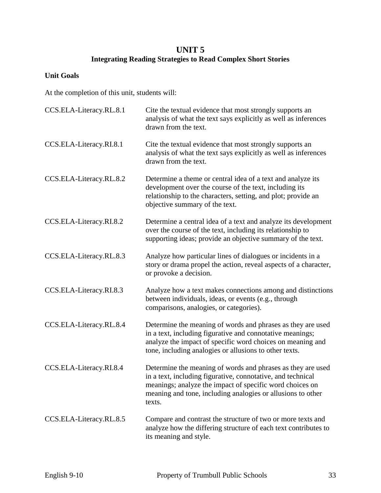## **UNIT 5 Integrating Reading Strategies to Read Complex Short Stories**

## **Unit Goals**

At the completion of this unit, students will:

| CCS.ELA-Literacy.RL.8.1 | Cite the textual evidence that most strongly supports an<br>analysis of what the text says explicitly as well as inferences<br>drawn from the text.                                                                                                             |
|-------------------------|-----------------------------------------------------------------------------------------------------------------------------------------------------------------------------------------------------------------------------------------------------------------|
| CCS.ELA-Literacy.RI.8.1 | Cite the textual evidence that most strongly supports an<br>analysis of what the text says explicitly as well as inferences<br>drawn from the text.                                                                                                             |
| CCS.ELA-Literacy.RL.8.2 | Determine a theme or central idea of a text and analyze its<br>development over the course of the text, including its<br>relationship to the characters, setting, and plot; provide an<br>objective summary of the text.                                        |
| CCS.ELA-Literacy.RI.8.2 | Determine a central idea of a text and analyze its development<br>over the course of the text, including its relationship to<br>supporting ideas; provide an objective summary of the text.                                                                     |
| CCS.ELA-Literacy.RL.8.3 | Analyze how particular lines of dialogues or incidents in a<br>story or drama propel the action, reveal aspects of a character,<br>or provoke a decision.                                                                                                       |
| CCS.ELA-Literacy.RI.8.3 | Analyze how a text makes connections among and distinctions<br>between individuals, ideas, or events (e.g., through<br>comparisons, analogies, or categories).                                                                                                  |
| CCS.ELA-Literacy.RL.8.4 | Determine the meaning of words and phrases as they are used<br>in a text, including figurative and connotative meanings;<br>analyze the impact of specific word choices on meaning and<br>tone, including analogies or allusions to other texts.                |
| CCS.ELA-Literacy.RI.8.4 | Determine the meaning of words and phrases as they are used<br>in a text, including figurative, connotative, and technical<br>meanings; analyze the impact of specific word choices on<br>meaning and tone, including analogies or allusions to other<br>texts. |
| CCS.ELA-Literacy.RL.8.5 | Compare and contrast the structure of two or more texts and<br>analyze how the differing structure of each text contributes to<br>its meaning and style.                                                                                                        |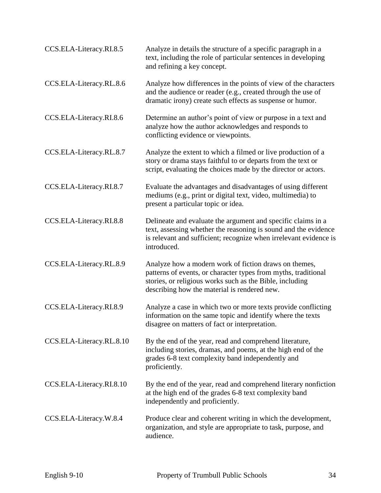| CCS.ELA-Literacy.RI.8.5  | Analyze in details the structure of a specific paragraph in a<br>text, including the role of particular sentences in developing<br>and refining a key concept.                                                                      |
|--------------------------|-------------------------------------------------------------------------------------------------------------------------------------------------------------------------------------------------------------------------------------|
| CCS.ELA-Literacy.RL.8.6  | Analyze how differences in the points of view of the characters<br>and the audience or reader (e.g., created through the use of<br>dramatic irony) create such effects as suspense or humor.                                        |
| CCS.ELA-Literacy.RI.8.6  | Determine an author's point of view or purpose in a text and<br>analyze how the author acknowledges and responds to<br>conflicting evidence or viewpoints.                                                                          |
| CCS.ELA-Literacy.RL.8.7  | Analyze the extent to which a filmed or live production of a<br>story or drama stays faithful to or departs from the text or<br>script, evaluating the choices made by the director or actors.                                      |
| CCS.ELA-Literacy.RI.8.7  | Evaluate the advantages and disadvantages of using different<br>mediums (e.g., print or digital text, video, multimedia) to<br>present a particular topic or idea.                                                                  |
| CCS.ELA-Literacy.RI.8.8  | Delineate and evaluate the argument and specific claims in a<br>text, assessing whether the reasoning is sound and the evidence<br>is relevant and sufficient; recognize when irrelevant evidence is<br>introduced.                 |
| CCS.ELA-Literacy.RL.8.9  | Analyze how a modern work of fiction draws on themes,<br>patterns of events, or character types from myths, traditional<br>stories, or religious works such as the Bible, including<br>describing how the material is rendered new. |
| CCS.ELA-Literacy.RI.8.9  | Analyze a case in which two or more texts provide conflicting<br>information on the same topic and identify where the texts<br>disagree on matters of fact or interpretation.                                                       |
| CCS.ELA-Literacy.RL.8.10 | By the end of the year, read and comprehend literature,<br>including stories, dramas, and poems, at the high end of the<br>grades 6-8 text complexity band independently and<br>proficiently.                                       |
| CCS.ELA-Literacy.RI.8.10 | By the end of the year, read and comprehend literary nonfiction<br>at the high end of the grades 6-8 text complexity band<br>independently and proficiently.                                                                        |
| CCS.ELA-Literacy.W.8.4   | Produce clear and coherent writing in which the development,<br>organization, and style are appropriate to task, purpose, and<br>audience.                                                                                          |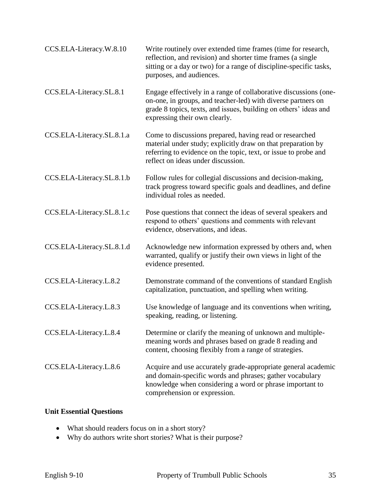| CCS.ELA-Literacy.W.8.10   | Write routinely over extended time frames (time for research,<br>reflection, and revision) and shorter time frames (a single<br>sitting or a day or two) for a range of discipline-specific tasks,<br>purposes, and audiences.        |
|---------------------------|---------------------------------------------------------------------------------------------------------------------------------------------------------------------------------------------------------------------------------------|
| CCS.ELA-Literacy.SL.8.1   | Engage effectively in a range of collaborative discussions (one-<br>on-one, in groups, and teacher-led) with diverse partners on<br>grade 8 topics, texts, and issues, building on others' ideas and<br>expressing their own clearly. |
| CCS.ELA-Literacy.SL.8.1.a | Come to discussions prepared, having read or researched<br>material under study; explicitly draw on that preparation by<br>referring to evidence on the topic, text, or issue to probe and<br>reflect on ideas under discussion.      |
| CCS.ELA-Literacy.SL.8.1.b | Follow rules for collegial discussions and decision-making,<br>track progress toward specific goals and deadlines, and define<br>individual roles as needed.                                                                          |
| CCS.ELA-Literacy.SL.8.1.c | Pose questions that connect the ideas of several speakers and<br>respond to others' questions and comments with relevant<br>evidence, observations, and ideas.                                                                        |
| CCS.ELA-Literacy.SL.8.1.d | Acknowledge new information expressed by others and, when<br>warranted, qualify or justify their own views in light of the<br>evidence presented.                                                                                     |
| CCS.ELA-Literacy.L.8.2    | Demonstrate command of the conventions of standard English<br>capitalization, punctuation, and spelling when writing.                                                                                                                 |
| CCS.ELA-Literacy.L.8.3    | Use knowledge of language and its conventions when writing,<br>speaking, reading, or listening.                                                                                                                                       |
| CCS.ELA-Literacy.L.8.4    | Determine or clarify the meaning of unknown and multiple-<br>meaning words and phrases based on grade 8 reading and<br>content, choosing flexibly from a range of strategies.                                                         |
| CCS.ELA-Literacy.L.8.6    | Acquire and use accurately grade-appropriate general academic<br>and domain-specific words and phrases; gather vocabulary<br>knowledge when considering a word or phrase important to<br>comprehension or expression.                 |

## **Unit Essential Questions**

- What should readers focus on in a short story?
- Why do authors write short stories? What is their purpose?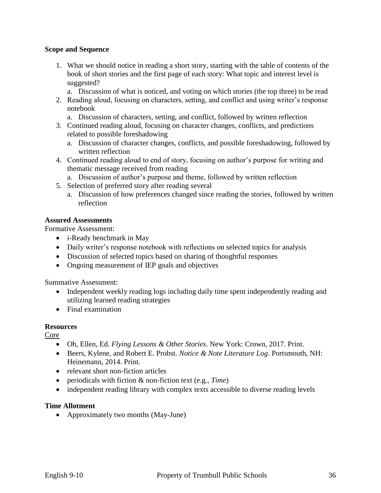#### **Scope and Sequence**

- 1. What we should notice in reading a short story, starting with the table of contents of the book of short stories and the first page of each story: What topic and interest level is suggested?
	- a. Discussion of what is noticed, and voting on which stories (the top three) to be read
- 2. Reading aloud, focusing on characters, setting, and conflict and using writer's response notebook
	- a. Discussion of characters, setting, and conflict, followed by written reflection
- 3. Continued reading aloud, focusing on character changes, conflicts, and predictions related to possible foreshadowing
	- a. Discussion of character changes, conflicts, and possible foreshadowing, followed by written reflection
- 4. Continued reading aloud to end of story, focusing on author's purpose for writing and thematic message received from reading
	- a. Discussion of author's purpose and theme, followed by written reflection
- 5. Selection of preferred story after reading several
	- a. Discussion of how preferences changed since reading the stories, followed by written reflection

#### **Assured Assessments**

Formative Assessment:

- i-Ready benchmark in May
- Daily writer's response notebook with reflections on selected topics for analysis
- Discussion of selected topics based on sharing of thoughtful responses
- Ongoing measurement of IEP goals and objectives

Summative Assessment:

- Independent weekly reading logs including daily time spent independently reading and utilizing learned reading strategies
- Final examination

#### **Resources**

Core

- Oh, Ellen, Ed. *Flying Lessons & Other Stories*. New York: Crown, 2017. Print.
- Beers, Kylene, and Robert E. Probst. *Notice & Note Literature Log*. Portsmouth, NH: Heinemann, 2014. Print.
- relevant short non-fiction articles
- periodicals with fiction & non-fiction text (e.g., *Time*)
- independent reading library with complex texts accessible to diverse reading levels

#### **Time Allotment**

• Approximately two months (May-June)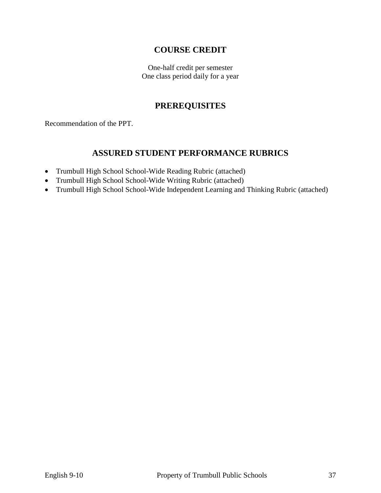## **COURSE CREDIT**

One-half credit per semester One class period daily for a year

## **PREREQUISITES**

Recommendation of the PPT.

## **ASSURED STUDENT PERFORMANCE RUBRICS**

- Trumbull High School School-Wide Reading Rubric (attached)
- Trumbull High School School-Wide Writing Rubric (attached)
- Trumbull High School School-Wide Independent Learning and Thinking Rubric (attached)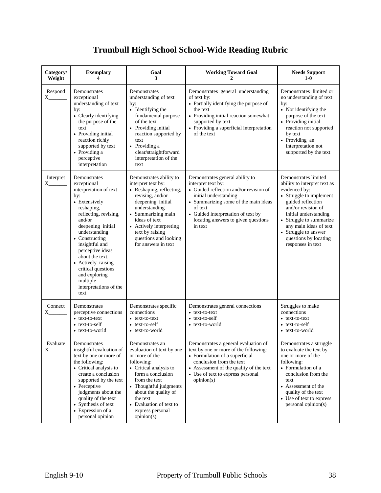# **Trumbull High School School-Wide Reading Rubric**

| Category/<br>Weight  | <b>Exemplary</b><br>4                                                                                                                                                                                                                                                                                                                                      | Goal<br>3                                                                                                                                                                                                                                                                | <b>Working Toward Goal</b><br>2                                                                                                                                                                                                                                     | <b>Needs Support</b><br>$1-0$                                                                                                                                                                                                                                                                   |
|----------------------|------------------------------------------------------------------------------------------------------------------------------------------------------------------------------------------------------------------------------------------------------------------------------------------------------------------------------------------------------------|--------------------------------------------------------------------------------------------------------------------------------------------------------------------------------------------------------------------------------------------------------------------------|---------------------------------------------------------------------------------------------------------------------------------------------------------------------------------------------------------------------------------------------------------------------|-------------------------------------------------------------------------------------------------------------------------------------------------------------------------------------------------------------------------------------------------------------------------------------------------|
| Respond<br>X_        | Demonstrates<br>exceptional<br>understanding of text<br>by:<br>• Clearly identifying<br>the purpose of the<br>text<br>• Providing initial<br>reaction richly<br>supported by text<br>• Providing a<br>perceptive<br>interpretation                                                                                                                         | Demonstrates<br>understanding of text<br>by:<br>• Identifying the<br>fundamental purpose<br>of the text<br>• Providing initial<br>reaction supported by<br>text<br>• Providing a<br>clear/straightforward<br>interpretation of the<br>text                               | Demonstrates general understanding<br>of text by:<br>• Partially identifying the purpose of<br>the text<br>• Providing initial reaction somewhat<br>supported by text<br>• Providing a superficial interpretation<br>of the text                                    | Demonstrates limited or<br>no understanding of text<br>by:<br>• Not identifying the<br>purpose of the text<br>• Providing initial<br>reaction not supported<br>by text<br>• Providing an<br>interpretation not<br>supported by the text                                                         |
| Interpret<br>$X_{-}$ | Demonstrates<br>exceptional<br>interpretation of text<br>by:<br>• Extensively<br>reshaping,<br>reflecting, revising,<br>and/or<br>deepening initial<br>understanding<br>• Constructing<br>insightful and<br>perceptive ideas<br>about the text.<br>• Actively raising<br>critical questions<br>and exploring<br>multiple<br>interpretations of the<br>text | Demonstrates ability to<br>interpret text by:<br>• Reshaping, reflecting,<br>revising, and/or<br>deepening initial<br>understanding<br>• Summarizing main<br>ideas of text<br>• Actively interpreting<br>text by raising<br>questions and looking<br>for answers in text | Demonstrates general ability to<br>interpret text by:<br>• Guided reflection and/or revision of<br>initial understanding<br>• Summarizing some of the main ideas<br>of text<br>• Guided interpretation of text by<br>locating answers to given questions<br>in text | Demonstrates limited<br>ability to interpret text as<br>evidenced by:<br>• Struggle to implement<br>guided reflection<br>and/or revision of<br>initial understanding<br>• Struggle to summarize<br>any main ideas of text<br>• Struggle to answer<br>questions by locating<br>responses in text |
| Connect<br>X.        | Demonstrates<br>perceptive connections<br>• text-to-text<br>• text-to-self<br>• text-to-world                                                                                                                                                                                                                                                              | Demonstrates specific<br>connections<br>• text-to-text<br>• text-to-self<br>• text-to-world                                                                                                                                                                              | Demonstrates general connections<br>• text-to-text<br>• text-to-self<br>• text-to-world                                                                                                                                                                             | Struggles to make<br>connections<br>• text-to-text<br>• text-to-self<br>• text-to-world                                                                                                                                                                                                         |
| Evaluate<br>$X_{-}$  | Demonstrates<br>insightful evaluation of<br>text by one or more of<br>the following:<br>• Critical analysis to<br>create a conclusion<br>supported by the text<br>• Perceptive<br>judgments about the<br>quality of the text<br>• Synthesis of text<br>• Expression of a<br>personal opinion                                                               | Demonstrates an<br>evaluation of text by one<br>or more of the<br>following:<br>• Critical analysis to<br>form a conclusion<br>from the text<br>• Thoughtful judgments<br>about the quality of<br>the text<br>• Evaluation of text to<br>express personal<br>opinion(s)  | Demonstrates a general evaluation of<br>text by one or more of the following:<br>• Formulation of a superficial<br>conclusion from the text<br>• Assessment of the quality of the text<br>• Use of text to express personal<br>opinion(s)                           | Demonstrates a struggle<br>to evaluate the text by<br>one or more of the<br>following:<br>• Formulation of a<br>conclusion from the<br>text<br>• Assessment of the<br>quality of the text<br>• Use of text to express<br>personal opinion(s)                                                    |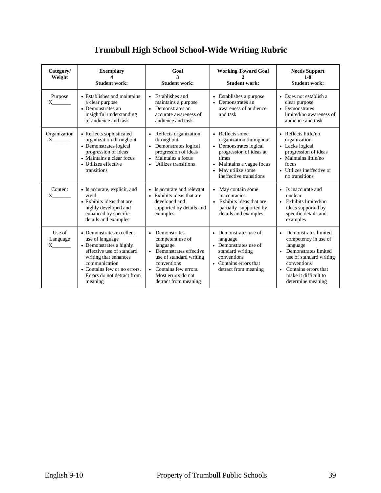# **Trumbull High School School-Wide Writing Rubric**

| Category/<br>Weight                     | <b>Exemplary</b><br><b>Student work:</b>                                                                                                                                                                               | Goal<br>3<br><b>Student work:</b>                                                                                                                                                                                             | <b>Working Toward Goal</b><br><b>Student work:</b>                                                                                                                                                | <b>Needs Support</b><br>$1-0$<br><b>Student work:</b>                                                                                                                                                 |
|-----------------------------------------|------------------------------------------------------------------------------------------------------------------------------------------------------------------------------------------------------------------------|-------------------------------------------------------------------------------------------------------------------------------------------------------------------------------------------------------------------------------|---------------------------------------------------------------------------------------------------------------------------------------------------------------------------------------------------|-------------------------------------------------------------------------------------------------------------------------------------------------------------------------------------------------------|
| Purpose<br>$X \sim$                     | • Establishes and maintains<br>a clear purpose<br>• Demonstrates an<br>insightful understanding<br>of audience and task                                                                                                | • Establishes and<br>maintains a purpose<br>Demonstrates an<br>$\bullet$<br>accurate awareness of<br>audience and task                                                                                                        | • Establishes a purpose<br>Demonstrates an<br>awareness of audience<br>and task                                                                                                                   | • Does not establish a<br>clear purpose<br>• Demonstrates<br>limited/no awareness of<br>audience and task                                                                                             |
| Organization<br>X                       | • Reflects sophisticated<br>organization throughout<br>• Demonstrates logical<br>progression of ideas<br>• Maintains a clear focus<br>• Utilizes effective<br>transitions                                              | • Reflects organization<br>throughout<br>Demonstrates logical<br>$\bullet$<br>progression of ideas<br>Maintains a focus<br>$\bullet$<br>Utilizes transitions                                                                  | • Reflects some<br>organization throughout<br>• Demonstrates logical<br>progression of ideas at<br>times<br>• Maintains a vague focus<br>May utilize some<br>$\bullet$<br>ineffective transitions | • Reflects little/no<br>organization<br>• Lacks logical<br>progression of ideas<br>• Maintains little/no<br>focus<br>• Utilizes ineffective or<br>no transitions                                      |
| Content<br>$X \sim$                     | • Is accurate, explicit, and<br>vivid<br>• Exhibits ideas that are<br>highly developed and<br>enhanced by specific<br>details and examples                                                                             | • Is accurate and relevant<br>• Exhibits ideas that are<br>developed and<br>supported by details and<br>examples                                                                                                              | May contain some<br>$\bullet$<br>inaccuracies<br>• Exhibits ideas that are<br>partially supported by<br>details and examples                                                                      | • Is inaccurate and<br>unclear<br>• Exhibits limited/no<br>ideas supported by<br>specific details and<br>examples                                                                                     |
| Use of<br>Language<br>$X \qquad \qquad$ | • Demonstrates excellent<br>use of language<br>• Demonstrates a highly<br>effective use of standard<br>writing that enhances<br>communication<br>• Contains few or no errors.<br>Errors do not detract from<br>meaning | Demonstrates<br>$\bullet$<br>competent use of<br>language<br>Demonstrates effective<br>$\bullet$<br>use of standard writing<br>conventions<br>Contains few errors.<br>$\bullet$<br>Most errors do not<br>detract from meaning | • Demonstrates use of<br>language<br>• Demonstrates use of<br>standard writing<br>conventions<br>• Contains errors that<br>detract from meaning                                                   | • Demonstrates limited<br>competency in use of<br>language<br>• Demonstrates limited<br>use of standard writing<br>conventions<br>• Contains errors that<br>make it difficult to<br>determine meaning |